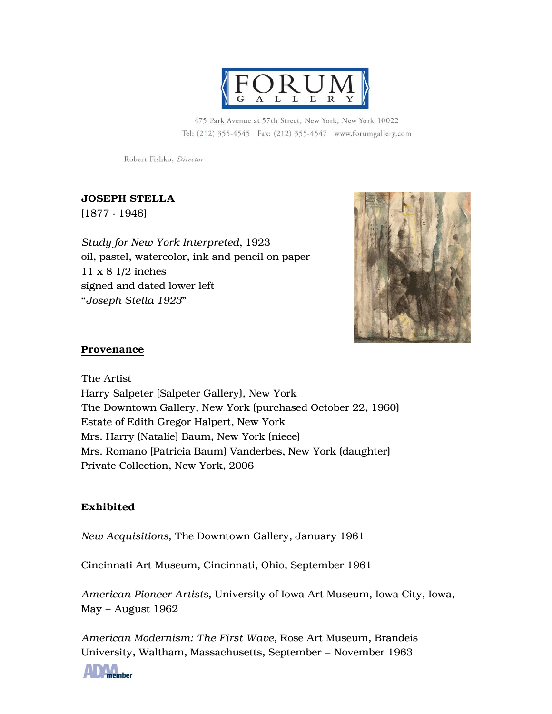

475 Park Avenue at 57th Street, New York, New York 10022 Tel: (212) 355-4545 Fax: (212) 355-4547 www.forumgallery.com

Robert Fishko, Director

# JOSEPH STELLA

(1877 - 1946)

*Study for New York Interpreted*, 1923 oil, pastel, watercolor, ink and pencil on paper 11 x 8 1/2 inches signed and dated lower left "*Joseph Stella 1923*"



## Provenance

The Artist Harry Salpeter (Salpeter Gallery), New York The Downtown Gallery, New York (purchased October 22, 1960) Estate of Edith Gregor Halpert, New York Mrs. Harry (Natalie) Baum, New York (niece) Mrs. Romano (Patricia Baum) Vanderbes, New York (daughter) Private Collection, New York, 2006

# Exhibited

*New Acquisitions*, The Downtown Gallery, January 1961

Cincinnati Art Museum, Cincinnati, Ohio, September 1961

*American Pioneer Artists,* University of Iowa Art Museum, Iowa City, Iowa, May – August 1962

*American Modernism: The First Wave,* Rose Art Museum, Brandeis University, Waltham, Massachusetts, September – November 1963